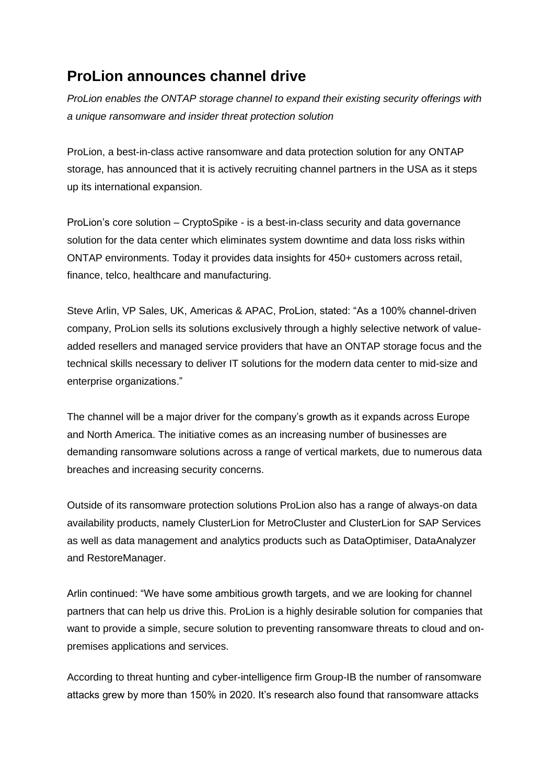## **ProLion announces channel drive**

*ProLion enables the ONTAP storage channel to expand their existing security offerings with a unique ransomware and insider threat protection solution*

ProLion, a best-in-class active ransomware and data protection solution for any ONTAP storage, has announced that it is actively recruiting channel partners in the USA as it steps up its international expansion.

ProLion's core solution – CryptoSpike - is a best-in-class security and data governance solution for the data center which eliminates system downtime and data loss risks within ONTAP environments. Today it provides data insights for 450+ customers across retail, finance, telco, healthcare and manufacturing.

Steve Arlin, VP Sales, UK, Americas & APAC, ProLion, stated: "As a 100% channel-driven company, ProLion sells its solutions exclusively through a highly selective network of valueadded resellers and managed service providers that have an ONTAP storage focus and the technical skills necessary to deliver IT solutions for the modern data center to mid-size and enterprise organizations."

The channel will be a major driver for the company's growth as it expands across Europe and North America. The initiative comes as an increasing number of businesses are demanding ransomware solutions across a range of vertical markets, due to numerous data breaches and increasing security concerns.

Outside of its ransomware protection solutions ProLion also has a range of always-on data availability products, namely ClusterLion for MetroCluster and ClusterLion for SAP Services as well as data management and analytics products such as DataOptimiser, DataAnalyzer and RestoreManager.

Arlin continued: "We have some ambitious growth targets, and we are looking for channel partners that can help us drive this. ProLion is a highly desirable solution for companies that want to provide a simple, secure solution to preventing ransomware threats to cloud and onpremises applications and services.

According to threat hunting and cyber-intelligence firm Group-IB the number of ransomware attacks grew by more than 150% in 2020. It's research also found that ransomware attacks